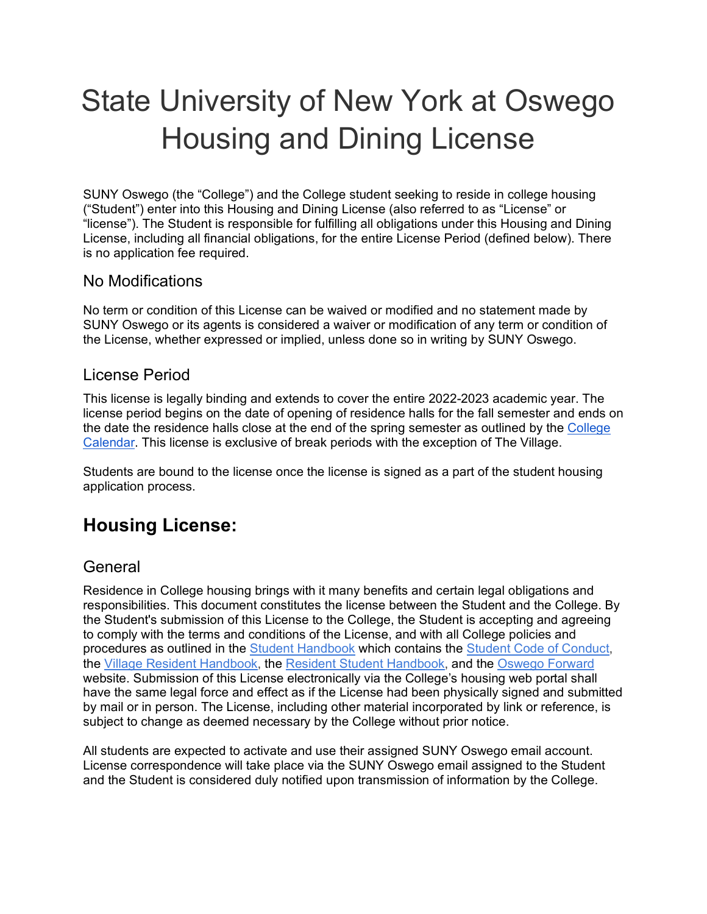# State University of New York at Oswego Housing and Dining License

SUNY Oswego (the "College") and the College student seeking to reside in college housing ("Student") enter into this Housing and Dining License (also referred to as "License" or "license"). The Student is responsible for fulfilling all obligations under this Housing and Dining License, including all financial obligations, for the entire License Period (defined below). There is no application fee required.

## No Modifications

No term or condition of this License can be waived or modified and no statement made by SUNY Oswego or its agents is considered a waiver or modification of any term or condition of the License, whether expressed or implied, unless done so in writing by SUNY Oswego.

## License Period

This license is legally binding and extends to cover the entire 2022-2023 academic year. The license period begins on the date of opening of residence halls for the fall semester and ends on the date the residence halls close at the end of the spring semester as outlined by the [College](https://www.oswego.edu/registrar/college-calendar)  [Calendar.](https://www.oswego.edu/registrar/college-calendar) This license is exclusive of break periods with the exception of The Village.

Students are bound to the license once the license is signed as a part of the student housing application process.

# **Housing License:**

## **General**

Residence in College housing brings with it many benefits and certain legal obligations and responsibilities. This document constitutes the license between the Student and the College. By the Student's submission of this License to the College, the Student is accepting and agreeing to comply with the terms and conditions of the License, and with all College policies and procedures as outlined in the [Student Handbook](https://www.oswego.edu/student-handbook/home) which contains the [Student Code of Conduct,](https://www.oswego.edu/student-conduct/code-conduct) the [Village Resident Handbook,](https://www.oswego.edu/residence-life-and-housing/sites/www.oswego.edu.residence-life-and-housing/files/villageresidenthandbook1718.pdf) the [Resident Student Handbook,](https://www.oswego.edu/residence-life-and-housing/resident-student-handbook) and the [Oswego Forward](https://ww1.oswego.edu/oswego-forward/) website. Submission of this License electronically via the College's housing web portal shall have the same legal force and effect as if the License had been physically signed and submitted by mail or in person. The License, including other material incorporated by link or reference, is subject to change as deemed necessary by the College without prior notice.

All students are expected to activate and use their assigned SUNY Oswego email account. License correspondence will take place via the SUNY Oswego email assigned to the Student and the Student is considered duly notified upon transmission of information by the College.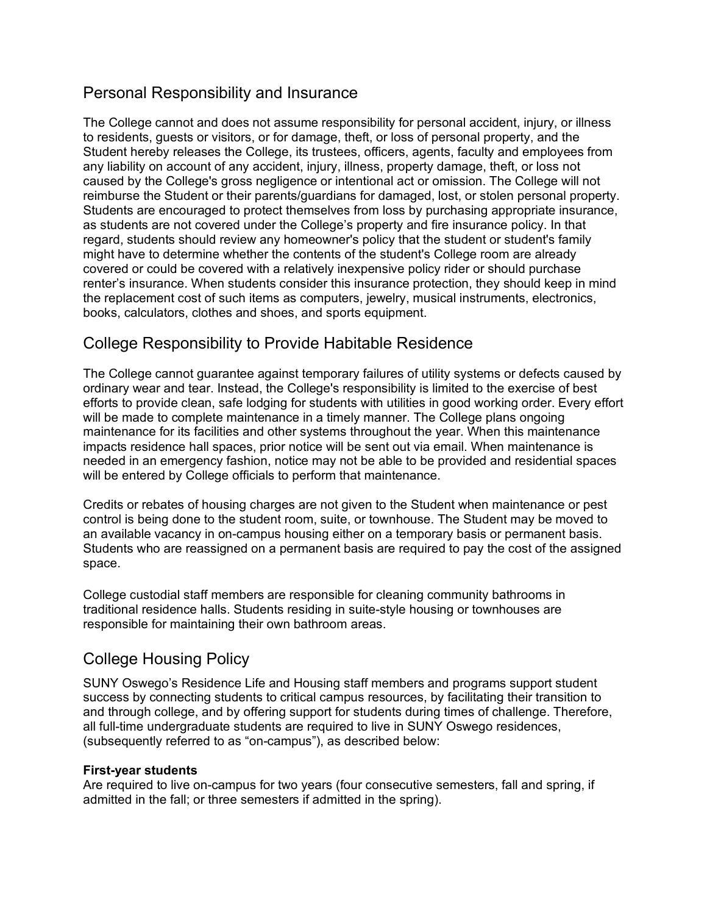## Personal Responsibility and Insurance

The College cannot and does not assume responsibility for personal accident, injury, or illness to residents, guests or visitors, or for damage, theft, or loss of personal property, and the Student hereby releases the College, its trustees, officers, agents, faculty and employees from any liability on account of any accident, injury, illness, property damage, theft, or loss not caused by the College's gross negligence or intentional act or omission. The College will not reimburse the Student or their parents/guardians for damaged, lost, or stolen personal property. Students are encouraged to protect themselves from loss by purchasing appropriate insurance, as students are not covered under the College's property and fire insurance policy. In that regard, students should review any homeowner's policy that the student or student's family might have to determine whether the contents of the student's College room are already covered or could be covered with a relatively inexpensive policy rider or should purchase renter's insurance. When students consider this insurance protection, they should keep in mind the replacement cost of such items as computers, jewelry, musical instruments, electronics, books, calculators, clothes and shoes, and sports equipment.

## College Responsibility to Provide Habitable Residence

The College cannot guarantee against temporary failures of utility systems or defects caused by ordinary wear and tear. Instead, the College's responsibility is limited to the exercise of best efforts to provide clean, safe lodging for students with utilities in good working order. Every effort will be made to complete maintenance in a timely manner. The College plans ongoing maintenance for its facilities and other systems throughout the year. When this maintenance impacts residence hall spaces, prior notice will be sent out via email. When maintenance is needed in an emergency fashion, notice may not be able to be provided and residential spaces will be entered by College officials to perform that maintenance.

Credits or rebates of housing charges are not given to the Student when maintenance or pest control is being done to the student room, suite, or townhouse. The Student may be moved to an available vacancy in on-campus housing either on a temporary basis or permanent basis. Students who are reassigned on a permanent basis are required to pay the cost of the assigned space.

College custodial staff members are responsible for cleaning community bathrooms in traditional residence halls. Students residing in suite-style housing or townhouses are responsible for maintaining their own bathroom areas.

## College Housing Policy

SUNY Oswego's Residence Life and Housing staff members and programs support student success by connecting students to critical campus resources, by facilitating their transition to and through college, and by offering support for students during times of challenge. Therefore, all full-time undergraduate students are required to live in SUNY Oswego residences, (subsequently referred to as "on-campus"), as described below:

#### **First-year students**

Are required to live on-campus for two years (four consecutive semesters, fall and spring, if admitted in the fall; or three semesters if admitted in the spring).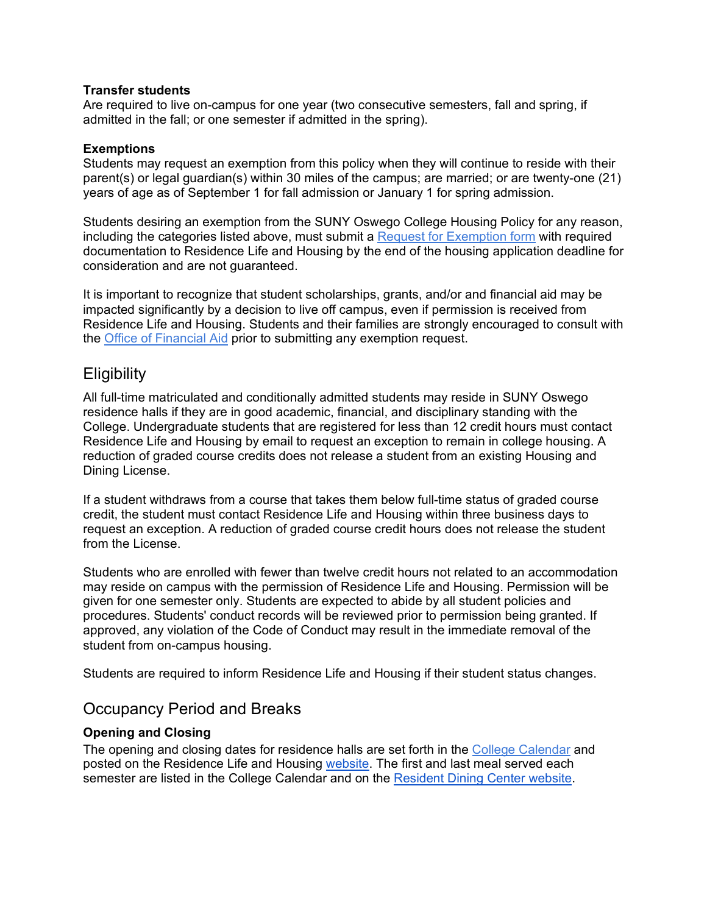#### **Transfer students**

Are required to live on-campus for one year (two consecutive semesters, fall and spring, if admitted in the fall; or one semester if admitted in the spring).

#### **Exemptions**

Students may request an exemption from this policy when they will continue to reside with their parent(s) or legal guardian(s) within 30 miles of the campus; are married; or are twenty-one (21) years of age as of September 1 for fall admission or January 1 for spring admission.

Students desiring an exemption from the SUNY Oswego College Housing Policy for any reason, including the categories listed above, must submit a [Request for E](https://www.oswego.edu/residence-life-and-housing/sites/acquia-prod.oswego.edu.residence-life-and-housing/files/exemptioncoversheet11.16.21.pdf)xemption [form](https://www.oswego.edu/residence-life-and-housing/sites/acquia-prod.oswego.edu.residence-life-and-housing/files/exemptionform111621_1.pdf) with required documentation to Residence Life and Housing by the end of the housing application deadline for consideration and are not guaranteed.

It is important to recognize that student scholarships, grants, and/or and financial aid may be impacted significantly by a decision to live off campus, even if permission is received from Residence Life and Housing. Students and their families are strongly encouraged to consult with the [Office of Financial Aid](https://www.oswego.edu/financial-aid/content/office-financial-aid) prior to submitting any exemption request.

## **Eligibility**

All full-time matriculated and conditionally admitted students may reside in SUNY Oswego residence halls if they are in good academic, financial, and disciplinary standing with the College. Undergraduate students that are registered for less than 12 credit hours must contact Residence Life and Housing by email to request an exception to remain in college housing. A reduction of graded course credits does not release a student from an existing Housing and Dining License.

If a student withdraws from a course that takes them below full-time status of graded course credit, the student must contact Residence Life and Housing within three business days to request an exception. A reduction of graded course credit hours does not release the student from the License.

Students who are enrolled with fewer than twelve credit hours not related to an accommodation may reside on campus with the permission of Residence Life and Housing. Permission will be given for one semester only. Students are expected to abide by all student policies and procedures. Students' conduct records will be reviewed prior to permission being granted. If approved, any violation of the Code of Conduct may result in the immediate removal of the student from on-campus housing.

Students are required to inform Residence Life and Housing if their student status changes.

## Occupancy Period and Breaks

#### **Opening and Closing**

The opening and closing dates for residence halls are set forth in the [College Calendar](https://www.oswego.edu/registrar/college-calendar) and posted on the Residence Life and Housing [website.](https://www.oswego.edu/residence-life-and-housing/opening-closing) The first and last meal served each semester are listed in the College Calendar and on the [Resident Dining Center website.](https://www.oswego.edu/auxiliary-services/residential-dining)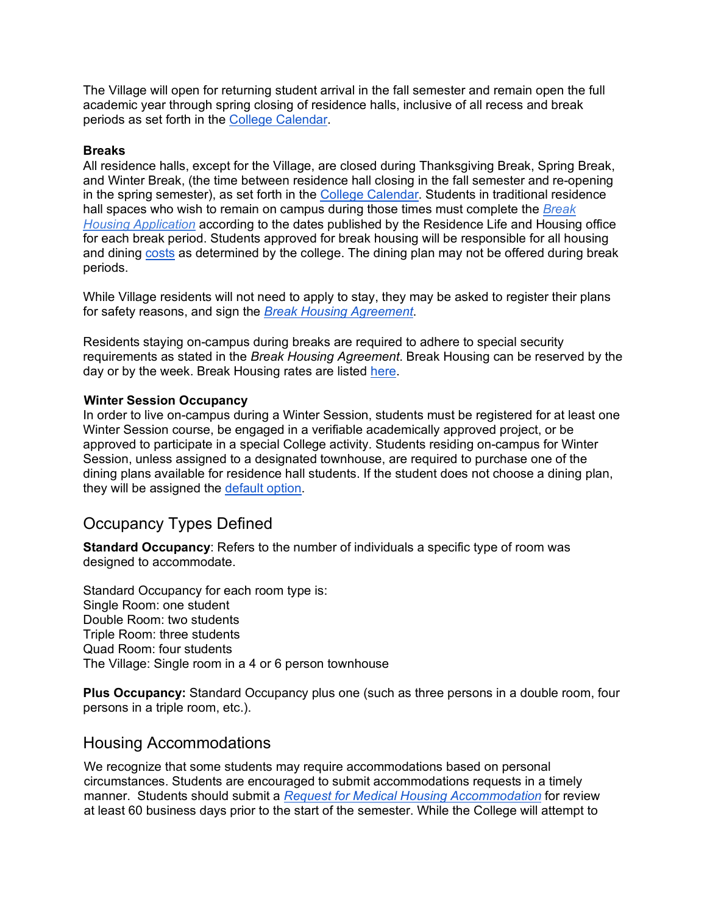The Village will open for returning student arrival in the fall semester and remain open the full academic year through spring closing of residence halls, inclusive of all recess and break periods as set forth in the [College Calendar.](https://www.oswego.edu/registrar/college-calendar)

#### **Breaks**

All residence halls, except for the Village, are closed during Thanksgiving Break, Spring Break, and Winter Break, (the time between residence hall closing in the fall semester and re-opening in the spring semester), as set forth in the [College Calendar.](https://www.oswego.edu/registrar/college-calendar) Students in traditional residence hall spaces who wish to remain on campus during those times must complete the *[Break](http://myhousing.oswego.edu/)  [Housing Application](http://myhousing.oswego.edu/)* according to the dates published by the Residence Life and Housing office for each break period. Students approved for break housing will be responsible for all housing and dining [costs](https://www.oswego.edu/residence-life-and-housing/break-housing) as determined by the college. The dining plan may not be offered during break periods.

While Village residents will not need to apply to stay, they may be asked to register their plans for safety reasons, and sign the *[Break Housing Agreement](https://www.oswego.edu/residence-life-and-housing/break-housing)*.

Residents staying on-campus during breaks are required to adhere to special security requirements as stated in the *Break Housing Agreement*. Break Housing can be reserved by the day or by the week. Break Housing rates are listed [here.](https://www.oswego.edu/residence-life-and-housing/break-housing)

#### **Winter Session Occupancy**

In order to live on-campus during a Winter Session, students must be registered for at least one Winter Session course, be engaged in a verifiable academically approved project, or be approved to participate in a special College activity. Students residing on-campus for Winter Session, unless assigned to a designated townhouse, are required to purchase one of the dining plans available for residence hall students. If the student does not choose a dining plan, they will be assigned the [default option.](https://www.oswego.edu/auxiliary-services/meal-plans)

## Occupancy Types Defined

**Standard Occupancy**: Refers to the number of individuals a specific type of room was designed to accommodate.

Standard Occupancy for each room type is: Single Room: one student Double Room: two students Triple Room: three students Quad Room: four students The Village: Single room in a 4 or 6 person townhouse

**Plus Occupancy:** Standard Occupancy plus one (such as three persons in a double room, four persons in a triple room, etc.).

## Housing Accommodations

We recognize that some students may require accommodations based on personal circumstances. Students are encouraged to submit accommodations requests in a timely manner. Students should submit a *[Request for Medical Housing Accommodation](https://www.oswego.edu/residence-life-and-housing/medical-housing-consideration-policy-and-process)* for review at least 60 business days prior to the start of the semester. While the College will attempt to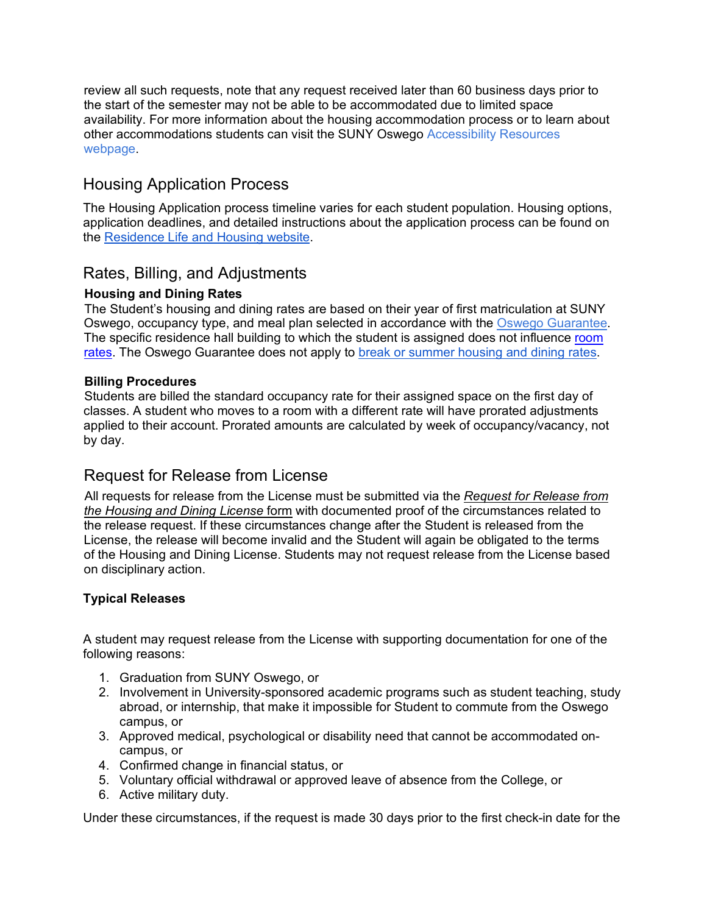review all such requests, note that any request received later than 60 business days prior to the start of the semester may not be able to be accommodated due to limited space availability. For more information about the housing accommodation process or to learn about other accommodations students can visit the SUNY Oswego [Accessibility](https://www.oswego.edu/accessibility-resources/accessibility-resources-1) Resources [webpage.](https://www.oswego.edu/accessibility-resources/accessibility-resources-1)

## Housing Application Process

The Housing Application process timeline varies for each student population. Housing options, application deadlines, and detailed instructions about the application process can be found on the [Residence Life and Housing website.](https://www.oswego.edu/residence-life-and-housing/)

## Rates, Billing, and Adjustments

#### **Housing and Dining Rates**

The Student's housing and dining rates are based on their year of first matriculation at SUNY Oswego, occupancy type, and meal plan selected in accordance with the [Oswego Guarantee.](https://ww1.oswego.edu/admissions/undergraduate-admissions/oswego-guarantee) The specific residence hall building to which the student is assigned does not influence [room](https://www.oswego.edu/residence-life-and-housing/room-rates)  [rates.](https://www.oswego.edu/residence-life-and-housing/room-rates) The Oswego Guarantee does not apply to [break or summer housing and dining rates.](https://www.oswego.edu/residence-life-and-housing/break-housing)

#### **Billing Procedures**

Students are billed the standard occupancy rate for their assigned space on the first day of classes. A student who moves to a room with a different rate will have prorated adjustments applied to their account. Prorated amounts are calculated by week of occupancy/vacancy, not by day.

## Request for Release from License

All requests for release from the License must be submitted via the *[Request for Release from](https://www.oswego.edu/residence-life-and-housing/sites/www.oswego.edu.residence-life-and-housing/files/terminationcoversheet021420.pdf)  [the Housing and Dining License](https://www.oswego.edu/residence-life-and-housing/sites/www.oswego.edu.residence-life-and-housing/files/terminationcoversheet021420.pdf)* [form](https://www.oswego.edu/residence-life-and-housing/sites/www.oswego.edu.residence-life-and-housing/files/terminationform031221.pdf) [with documented proof of the circumstances related to](https://www.oswego.edu/residence-life-and-housing/sites/www.oswego.edu.residence-life-and-housing/files/terminationform031221.pdf)  [the release request.](https://www.oswego.edu/residence-life-and-housing/sites/www.oswego.edu.residence-life-and-housing/files/terminationform031221.pdf) If these circumstances change after the Student is released from the License, the release will become invalid and the Student will again be obligated to the terms of the Housing and Dining License. Students may not request release from the License based on disciplinary action.

#### **Typical Releases**

A student may request release from the License with supporting documentation for one of the following reasons:

- 1. Graduation from SUNY Oswego, or
- 2. Involvement in University-sponsored academic programs such as student teaching, study abroad, or internship, that make it impossible for Student to commute from the Oswego campus, or
- 3. Approved medical, psychological or disability need that cannot be accommodated oncampus, or
- 4. Confirmed change in financial status, or
- 5. Voluntary official withdrawal or approved leave of absence from the College, or
- 6. Active military duty.

Under these circumstances, if the request is made 30 days prior to the first check-in date for the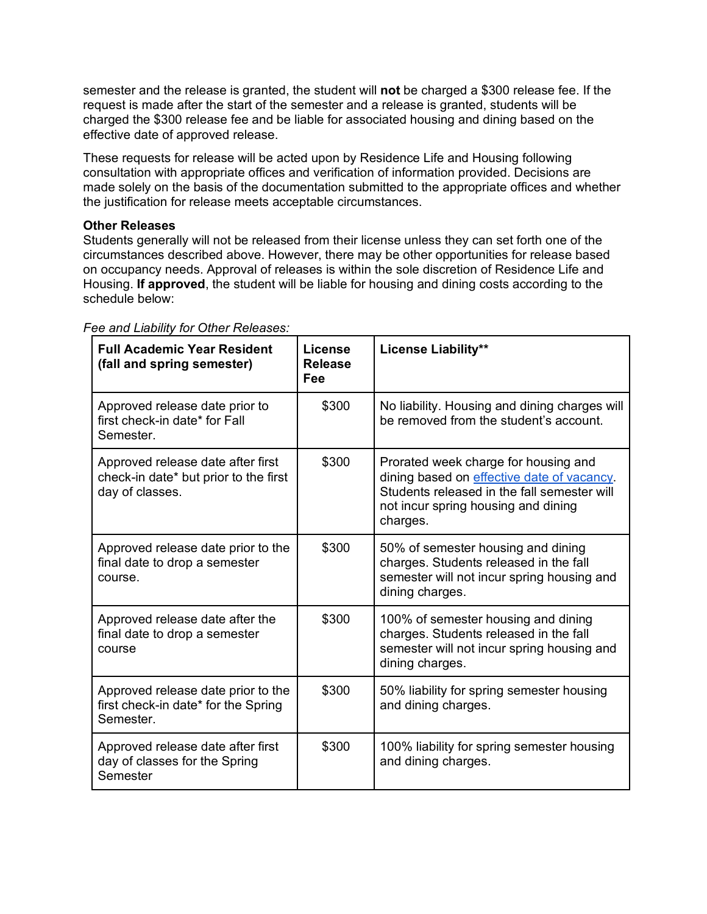semester and the release is granted, the student will **not** be charged a \$300 release fee. If the request is made after the start of the semester and a release is granted, students will be charged the \$300 release fee and be liable for associated housing and dining based on the effective date of approved release.

These requests for release will be acted upon by Residence Life and Housing following consultation with appropriate offices and verification of information provided. Decisions are made solely on the basis of the documentation submitted to the appropriate offices and whether the justification for release meets acceptable circumstances.

#### **Other Releases**

Students generally will not be released from their license unless they can set forth one of the circumstances described above. However, there may be other opportunities for release based on occupancy needs. Approval of releases is within the sole discretion of Residence Life and Housing. **If approved**, the student will be liable for housing and dining costs according to the schedule below:

| <b>Full Academic Year Resident</b><br>(fall and spring semester)                              | License<br><b>Release</b><br>Fee | <b>License Liability**</b>                                                                                                                                                           |
|-----------------------------------------------------------------------------------------------|----------------------------------|--------------------------------------------------------------------------------------------------------------------------------------------------------------------------------------|
| Approved release date prior to<br>first check-in date* for Fall<br>Semester.                  | \$300                            | No liability. Housing and dining charges will<br>be removed from the student's account.                                                                                              |
| Approved release date after first<br>check-in date* but prior to the first<br>day of classes. | \$300                            | Prorated week charge for housing and<br>dining based on effective date of vacancy.<br>Students released in the fall semester will<br>not incur spring housing and dining<br>charges. |
| Approved release date prior to the<br>final date to drop a semester<br>course.                | \$300                            | 50% of semester housing and dining<br>charges. Students released in the fall<br>semester will not incur spring housing and<br>dining charges.                                        |
| Approved release date after the<br>final date to drop a semester<br>course                    | \$300                            | 100% of semester housing and dining<br>charges. Students released in the fall<br>semester will not incur spring housing and<br>dining charges.                                       |
| Approved release date prior to the<br>first check-in date* for the Spring<br>Semester.        | \$300                            | 50% liability for spring semester housing<br>and dining charges.                                                                                                                     |
| Approved release date after first<br>day of classes for the Spring<br>Semester                | \$300                            | 100% liability for spring semester housing<br>and dining charges.                                                                                                                    |

*Fee and Liability for Other Releases:*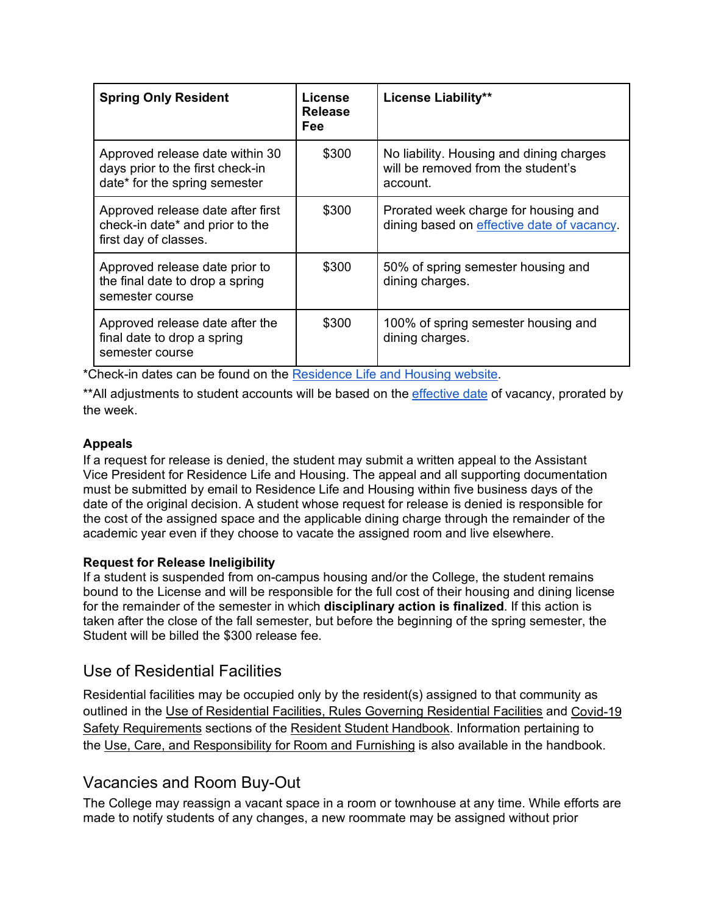| <b>Spring Only Resident</b>                                                                          | License<br><b>Release</b><br><b>Fee</b> | <b>License Liability**</b>                                                                 |
|------------------------------------------------------------------------------------------------------|-----------------------------------------|--------------------------------------------------------------------------------------------|
| Approved release date within 30<br>days prior to the first check-in<br>date* for the spring semester | \$300                                   | No liability. Housing and dining charges<br>will be removed from the student's<br>account. |
| Approved release date after first<br>check-in date* and prior to the<br>first day of classes.        | \$300                                   | Prorated week charge for housing and<br>dining based on effective date of vacancy.         |
| Approved release date prior to<br>the final date to drop a spring<br>semester course                 | \$300                                   | 50% of spring semester housing and<br>dining charges.                                      |
| Approved release date after the<br>final date to drop a spring<br>semester course                    | \$300                                   | 100% of spring semester housing and<br>dining charges.                                     |

\*Check-in dates can be found on the [Residence Life and Housing website.](https://www.oswego.edu/residence-life-and-housing/moving)

\*\*All adjustments to student accounts will be based on the *effective date* of vacancy, prorated by the week.

#### **Appeals**

If a request for release is denied, the student may submit a written appeal to the Assistant Vice President for Residence Life and Housing. The appeal and all supporting documentation must be submitted by email to Residence Life and Housing within five business days of the date of the original decision. A student whose request for release is denied is responsible for the cost of the assigned space and the applicable dining charge through the remainder of the academic year even if they choose to vacate the assigned room and live elsewhere.

#### **Request for Release Ineligibility**

If a student is suspended from on-campus housing and/or the College, the student remains bound to the License and will be responsible for the full cost of their housing and dining license for the remainder of the semester in which **disciplinary action is finalized**. If this action is taken after the close of the fall semester, but before the beginning of the spring semester, the Student will be billed the \$300 release fee.

## Use of Residential Facilities

Residential facilities may be occupied only by the resident(s) assigned to that community as outlined in the [Use of Residential Facilities, Rules Governing Residential Facilities](https://www.google.com/url?q=https://www.oswego.edu/residence-life-and-housing/college-housing-and-residence-hall-policies&source=gmail-imap&ust=1643205216000000&usg=AOvVaw1qltwkyN5wFqU-61BiJqFL) and [Covid-19](https://www.google.com/url?q=https://ww1.oswego.edu/oswego-forward/&source=gmail-imap&ust=1643205216000000&usg=AOvVaw2rbCSjPtweafsQwHYpZnyK)  [Safety Requirements](https://www.google.com/url?q=https://ww1.oswego.edu/oswego-forward/&source=gmail-imap&ust=1643205216000000&usg=AOvVaw2rbCSjPtweafsQwHYpZnyK) sections of the [Resident Student Handbook.](https://www.google.com/url?q=https://www.oswego.edu/residence-life-and-housing/resident-student-handbook-0&source=gmail-imap&ust=1643205216000000&usg=AOvVaw25o7jp5px2Su-icvgFeh-F) Information pertaining to the [Use, Care, and Responsibility for Room and Furnishing](https://www.google.com/url?q=https://www.oswego.edu/residence-life-and-housing/use-care-and-responsibility-room-and-furnishing&source=gmail-imap&ust=1643205216000000&usg=AOvVaw1E-rPw03pZ6LsPjkxQPESl) is also available in the handbook.

## Vacancies and Room Buy-Out

The College may reassign a vacant space in a room or townhouse at any time. While efforts are made to notify students of any changes, a new roommate may be assigned without prior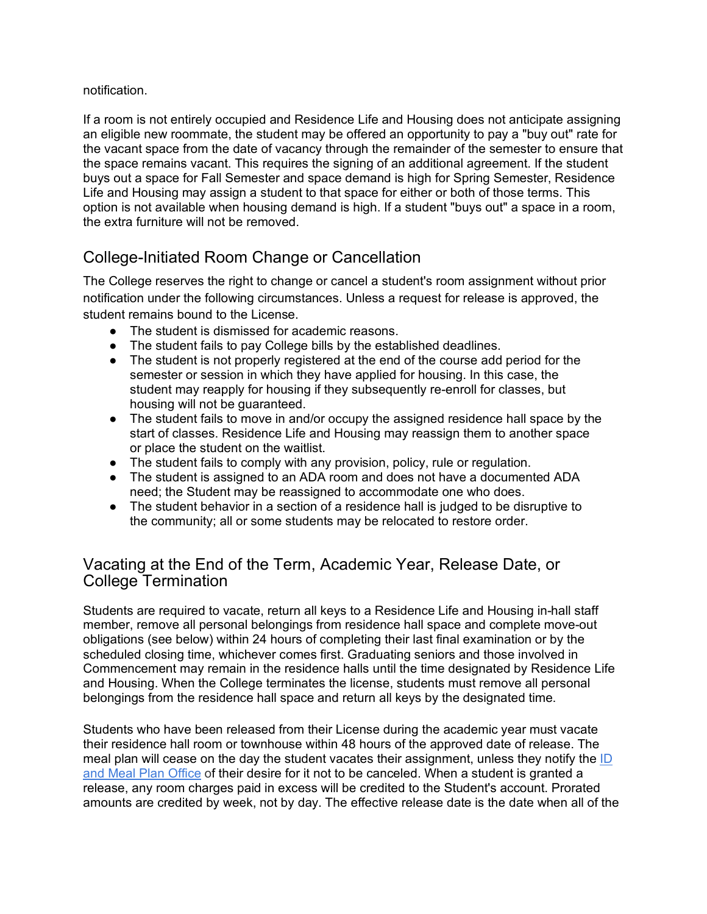#### notification.

If a room is not entirely occupied and Residence Life and Housing does not anticipate assigning an eligible new roommate, the student may be offered an opportunity to pay a "buy out" rate for the vacant space from the date of vacancy through the remainder of the semester to ensure that the space remains vacant. This requires the signing of an additional agreement. If the student buys out a space for Fall Semester and space demand is high for Spring Semester, Residence Life and Housing may assign a student to that space for either or both of those terms. This option is not available when housing demand is high. If a student "buys out" a space in a room, the extra furniture will not be removed.

## College-Initiated Room Change or Cancellation

The College reserves the right to change or cancel a student's room assignment without prior notification under the following circumstances. Unless a request for release is approved, the student remains bound to the License.

- The student is dismissed for academic reasons.
- The student fails to pay College bills by the established deadlines.
- The student is not properly registered at the end of the course add period for the semester or session in which they have applied for housing. In this case, the student may reapply for housing if they subsequently re-enroll for classes, but housing will not be guaranteed.
- The student fails to move in and/or occupy the assigned residence hall space by the start of classes. Residence Life and Housing may reassign them to another space or place the student on the waitlist.
- The student fails to comply with any provision, policy, rule or regulation.
- The student is assigned to an ADA room and does not have a documented ADA need; the Student may be reassigned to accommodate one who does.
- The student behavior in a section of a residence hall is judged to be disruptive to the community; all or some students may be relocated to restore order.

## <span id="page-7-0"></span>Vacating at the End of the Term, Academic Year, Release Date, or College Termination

Students are required to vacate, return all keys to a Residence Life and Housing in-hall staff member, remove all personal belongings from residence hall space and complete move-out obligations (see below) within 24 hours of completing their last final examination or by the scheduled closing time, whichever comes first. Graduating seniors and those involved in Commencement may remain in the residence halls until the time designated by Residence Life and Housing. When the College terminates the license, students must remove all personal belongings from the residence hall space and return all keys by the designated time.

Students who have been released from their License during the academic year must vacate their residence hall room or townhouse within 48 hours of the approved date of release. The meal plan will cease on the day the student vacates their assignment, unless they notify the [ID](https://www.oswego.edu/auxiliary-services/id-and-meal-plan-office)  [and Meal Plan Office](https://www.oswego.edu/auxiliary-services/id-and-meal-plan-office) of their desire for it not to be canceled. When a student is granted a release, any room charges paid in excess will be credited to the Student's account. Prorated amounts are credited by week, not by day. The effective release date is the date when all of the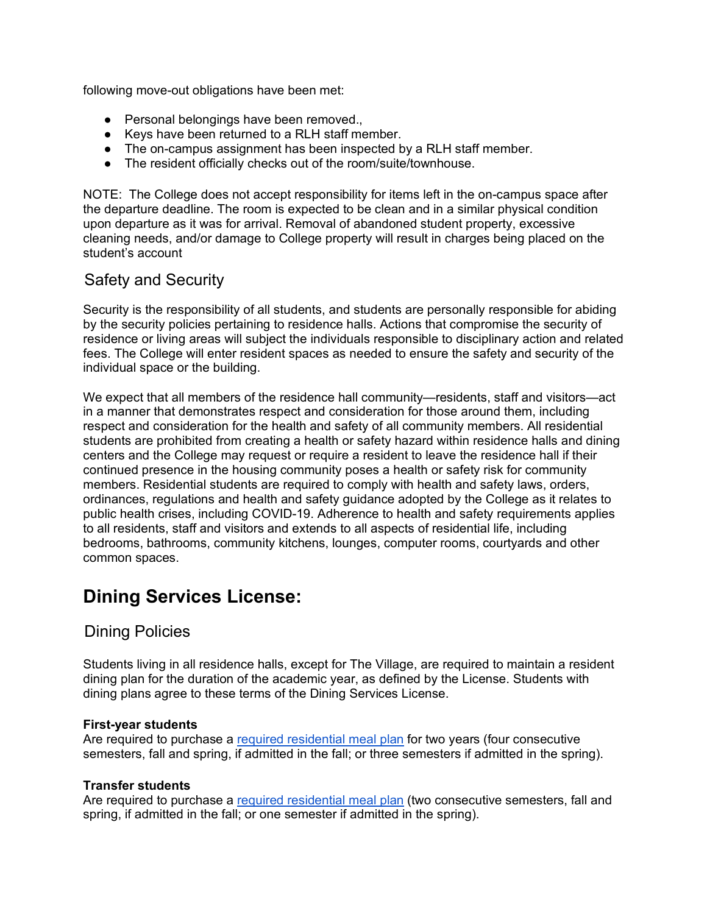following move-out obligations have been met:

- Personal belongings have been removed.,
- Keys have been returned to a RLH staff member.
- The on-campus assignment has been inspected by a RLH staff member.
- The resident officially checks out of the room/suite/townhouse.

NOTE: The College does not accept responsibility for items left in the on-campus space after the departure deadline. The room is expected to be clean and in a similar physical condition upon departure as it was for arrival. Removal of abandoned student property, excessive cleaning needs, and/or damage to College property will result in charges being placed on the student's account

## Safety and Security

Security is the responsibility of all students, and students are personally responsible for abiding by the security policies pertaining to residence halls. Actions that compromise the security of residence or living areas will subject the individuals responsible to disciplinary action and related fees. The College will enter resident spaces as needed to ensure the safety and security of the individual space or the building.

We expect that all members of the residence hall community—residents, staff and visitors—act in a manner that demonstrates respect and consideration for those around them, including respect and consideration for the health and safety of all community members. All residential students are prohibited from creating a health or safety hazard within residence halls and dining centers and the College may request or require a resident to leave the residence hall if their continued presence in the housing community poses a health or safety risk for community members. Residential students are required to comply with health and safety laws, orders, ordinances, regulations and health and safety guidance adopted by the College as it relates to public health crises, including COVID-19. Adherence to health and safety requirements applies to all residents, staff and visitors and extends to all aspects of residential life, including bedrooms, bathrooms, community kitchens, lounges, computer rooms, courtyards and other common spaces.

## **Dining Services License:**

## Dining Policies

Students living in all residence halls, except for The Village, are required to maintain a resident dining plan for the duration of the academic year, as defined by the License. Students with dining plans agree to these terms of the Dining Services License.

#### **First-year students**

Are required to purchase a [required residential meal plan](https://www.oswego.edu/auxiliary-services/meal-plans) for two years (four consecutive semesters, fall and spring, if admitted in the fall; or three semesters if admitted in the spring).

#### **Transfer students**

Are required to purchase a [required residential meal plan](https://www.oswego.edu/auxiliary-services/meal-plans) (two consecutive semesters, fall and spring, if admitted in the fall; or one semester if admitted in the spring).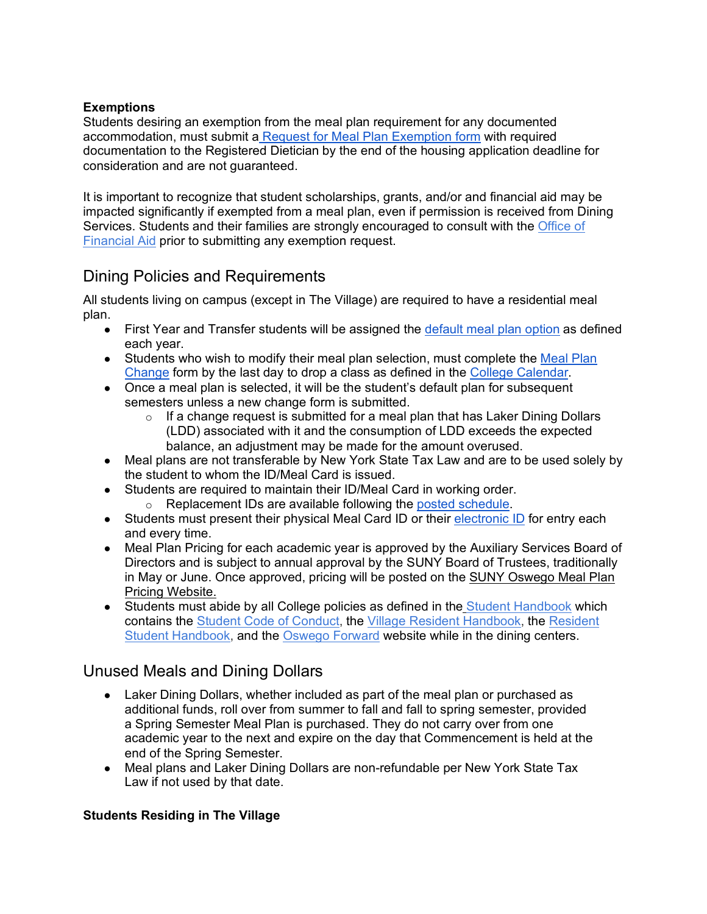#### **Exemptions**

Students desiring an exemption from the meal plan requirement for any documented accommodation, must submit a [Request for Meal Plan Exemption form](https://www.oswego.edu/auxiliary-services/meal-plan-exemption) with required documentation to the Registered Dietician by the end of the housing application deadline for consideration and are not guaranteed.

It is important to recognize that student scholarships, grants, and/or and financial aid may be impacted significantly if exempted from a meal plan, even if permission is received from Dining Services. Students and their families are strongly encouraged to consult with the [Office of](https://www.oswego.edu/financial-aid/content/office-financial-aid)  [Financial Aid](https://www.oswego.edu/financial-aid/content/office-financial-aid) prior to submitting any exemption request.

## Dining Policies and Requirements

All students living on campus (except in The Village) are required to have a residential meal plan.

- First Year and Transfer students will be assigned the [default meal plan option](https://www.oswego.edu/auxiliary-services/meal-plan-pricing) as defined each year.
- Students who wish to modify their meal plan selection, must complete the Meal Plan [Change](https://www.securedgateway.net/formhosting/oswego/mealchan.html) form by the last day to drop a class as defined in the [College Calendar.](https://www.oswego.edu/registrar/college-calendar)
- Once a meal plan is selected, it will be the student's default plan for subsequent semesters unless a new change form is submitted.
	- $\circ$  If a change request is submitted for a meal plan that has Laker Dining Dollars (LDD) associated with it and the consumption of LDD exceeds the expected balance, an adjustment may be made for the amount overused.
- Meal plans are not transferable by New York State Tax Law and are to be used solely by the student to whom the ID/Meal Card is issued.
- Students are required to maintain their ID/Meal Card in working order.
	- o Replacement IDs are available following the [posted schedule.](https://www.oswego.edu/auxiliary-services/lost-or-stolen-id)
- Students must present their physical Meal Card ID or their [electronic ID](https://www.oswego.edu/auxiliary-services/id-faq) for entry each and every time.
- Meal Plan Pricing for each academic year is approved by the Auxiliary Services Board of Directors and is subject to annual approval by the SUNY Board of Trustees, traditionally in May or June. Once approved, pricing will be posted on the [SUNY Oswego Meal Plan](https://www.oswego.edu/auxiliary-services/meal-plan-pricing)  [Pricing Website.](https://www.oswego.edu/auxiliary-services/meal-plan-pricing)
- Students must abide by all College policies as defined in the [Student Handbook](https://www.oswego.edu/student-handbook/home) which contains the [Student Code of Conduct,](https://www.oswego.edu/student-conduct/code-conduct) the [Village Resident Handbook,](https://www.oswego.edu/residence-life-and-housing/sites/www.oswego.edu.residence-life-and-housing/files/villageresidenthandbook1718.pdf) the Resident [Student Handbook,](https://www.oswego.edu/residence-life-and-housing/resident-student-handbook) and the [Oswego Forward](https://ww1.oswego.edu/oswego-forward/) website while in the dining centers.

## Unused Meals and Dining Dollars

- Laker Dining Dollars, whether included as part of the meal plan or purchased as additional funds, roll over from summer to fall and fall to spring semester, provided a Spring Semester Meal Plan is purchased. They do not carry over from one academic year to the next and expire on the day that Commencement is held at the end of the Spring Semester.
- Meal plans and Laker Dining Dollars are non-refundable per New York State Tax Law if not used by that date.

#### **Students Residing in The Village**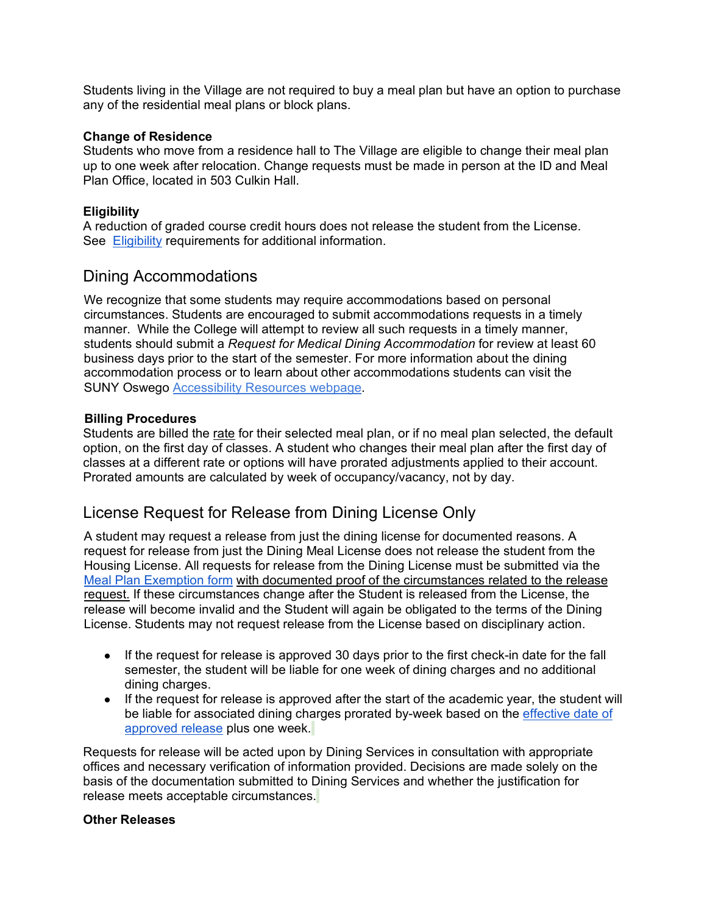Students living in the Village are not required to buy a meal plan but have an option to purchase any of the residential meal plans or block plans.

#### **Change of Residence**

Students who move from a residence hall to The Village are eligible to change their meal plan up to one week after relocation. Change requests must be made in person at the ID and Meal Plan Office, located in 503 Culkin Hall.

#### **Eligibility**

A reduction of graded course credit hours does not release the student from the License. See [Eligibility](https://docs.google.com/document/d/1Rwl03s4QNonImE_ceH06DIy9tEdFuHJS/edit#heading=h.1ksv4uv) requirements for additional information.

## Dining Accommodations

We recognize that some students may require accommodations based on personal circumstances. Students are encouraged to submit accommodations requests in a timely manner. While the College will attempt to review all such requests in a timely manner, students should submit a *Request for Medical Dining Accommodation* for review at least 60 business days prior to the start of the semester. For more information about the dining accommodation process or to learn about other accommodations students can visit the SUNY Oswego [Accessibility Resources webpage.](https://www.oswego.edu/accessibility-resources/accessibility-resources-1)

#### **Billing Procedures**

Students are billed the [rate](https://docs.google.com/document/d/1Rwl03s4QNonImE_ceH06DIy9tEdFuHJS/edit#heading=h.2lwamvv) for their selected meal plan, or if no meal plan selected, the default option, on the first day of classes. A student who changes their meal plan after the first day of classes at a different rate or options will have prorated adjustments applied to their account. Prorated amounts are calculated by week of occupancy/vacancy, not by day.

## License Request for Release from Dining License Only

A student may request a release from just the dining license for documented reasons. A request for release from just the Dining Meal License does not release the student from the Housing License. All requests for release from the Dining License must be submitted via the [Meal Plan Exemption form](https://www.oswego.edu/auxiliary-services/meal-plan-exemption) [with documented proof of the circumstances related to the release](https://www.oswego.edu/residence-life-and-housing/sites/www.oswego.edu.residence-life-and-housing/files/terminationform031221.pdf)  [request.](https://www.oswego.edu/residence-life-and-housing/sites/www.oswego.edu.residence-life-and-housing/files/terminationform031221.pdf) If these circumstances change after the Student is released from the License, the release will become invalid and the Student will again be obligated to the terms of the Dining License. Students may not request release from the License based on disciplinary action.

- If the request for release is approved 30 days prior to the first check-in date for the fall semester, the student will be liable for one week of dining charges and no additional dining charges.
- If the request for release is approved after the start of the academic year, the student will be liable for associated dining charges prorated by-week based on the [effective date of](https://docs.google.com/document/d/1Rwl03s4QNonImE_ceH06DIy9tEdFuHJS/edit#heading=h.ihv636)  [approved release](https://docs.google.com/document/d/1Rwl03s4QNonImE_ceH06DIy9tEdFuHJS/edit#heading=h.ihv636) plus one week.

Requests for release will be acted upon by Dining Services in consultation with appropriate offices and necessary verification of information provided. Decisions are made solely on the basis of the documentation submitted to Dining Services and whether the justification for release meets acceptable circumstances.

#### **Other Releases**